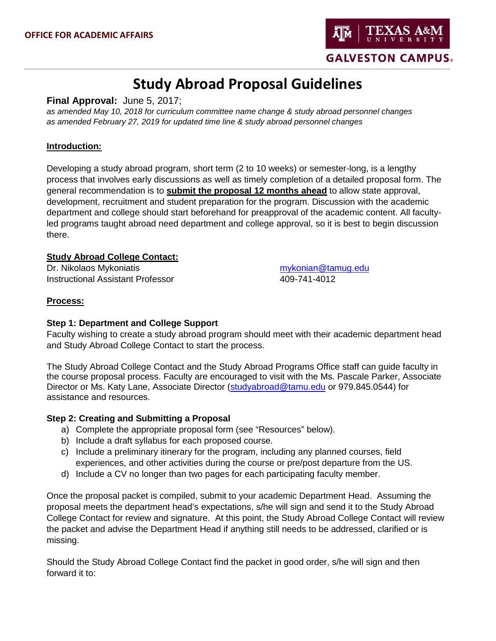

# **Study Abroad Proposal Guidelines**

**Final Approval:** June 5, 2017;

*as amended May 10, 2018 for curriculum committee name change & study abroad personnel changes as amended February 27, 2019 for updated time line & study abroad personnel changes*

### **Introduction:**

Developing a study abroad program, short term (2 to 10 weeks) or semester-long, is a lengthy process that involves early discussions as well as timely completion of a detailed proposal form. The general recommendation is to **submit the proposal 12 months ahead** to allow state approval, development, recruitment and student preparation for the program. Discussion with the academic department and college should start beforehand for preapproval of the academic content. All facultyled programs taught abroad need department and college approval, so it is best to begin discussion there.

### **Study Abroad College Contact:**

Dr. Nikolaos Mykoniatis [mykonian@tamug.edu](mailto:mykonian@tamug.edu) Instructional Assistant Professor 409-741-4012

#### **Process:**

### **Step 1: Department and College Support**

Faculty wishing to create a study abroad program should meet with their academic department head and [Study Abroad College Contact](http://studyabroad.tamu.edu/StudyAbroad/media/Study-Abroad-Image/Documents/SA-College-Contacts.pdf) to start the process.

The Study Abroad College Contact and the Study Abroad Programs Office staff can guide faculty in the course proposal process. Faculty are encouraged to visit with the Ms. Pascale Parker, Associate Director or Ms. Katy Lane, Associate Director [\(studyabroad@tamu.edu](mailto:studyabroad@tamu.edu?subject=Questions%20about%20creating%20and%20submitting%20a%20program%20proposal) or [979.845.0544\)](tel:9798450544) for assistance and resources.

### **Step 2: Creating and Submitting a Proposal**

- a) Complete the appropriate proposal form (see "Resources" below).
- b) Include a draft syllabus for each proposed course.
- c) Include a preliminary itinerary for the program, including any planned courses, field experiences, and other activities during the course or pre/post departure from the US.
- d) Include a CV no longer than two pages for each participating faculty member.

Once the proposal packet is compiled, submit to your academic Department Head. Assuming the proposal meets the department head's expectations, s/he will sign and send it to the Study Abroad College Contact for review and signature. At this point, the Study Abroad College Contact will review the packet and advise the Department Head if anything still needs to be addressed, clarified or is missing.

Should the Study Abroad College Contact find the packet in good order, s/he will sign and then forward it to: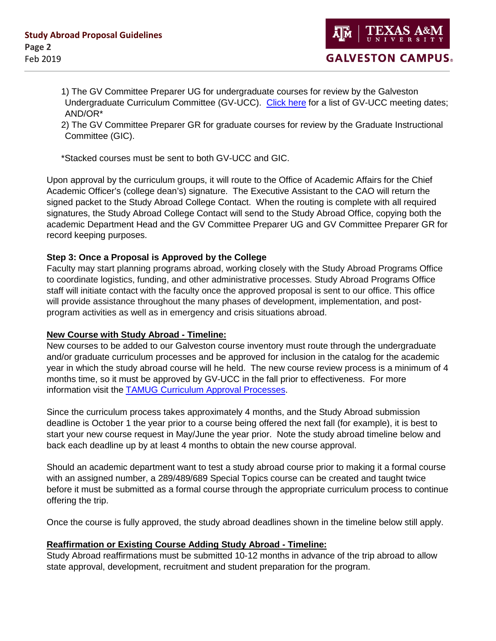**GALVESTON CAMPUS.** 

1) The GV Committee Preparer UG for undergraduate courses for review by the Galveston Undergraduate Curriculum Committee (GV-UCC). [Click here](http://www.tamug.edu/AcademicAffairs/documents/Curricular_Calendar.pdf) for a list of GV-UCC meeting dates; AND/OR\*

2) The GV Committee Preparer GR for graduate courses for review by the Graduate Instructional Committee (GIC).

\*Stacked courses must be sent to both GV-UCC and GIC.

Upon approval by the curriculum groups, it will route to the Office of Academic Affairs for the Chief Academic Officer's (college dean's) signature. The Executive Assistant to the CAO will return the signed packet to the Study Abroad College Contact. When the routing is complete with all required signatures, the Study Abroad College Contact will send to the Study Abroad Office, copying both the academic Department Head and the GV Committee Preparer UG and GV Committee Preparer GR for record keeping purposes.

### **Step 3: Once a Proposal is Approved by the College**

Faculty may start planning programs abroad, working closely with the Study Abroad Programs Office to coordinate logistics, funding, and other administrative processes. Study Abroad Programs Office staff will initiate contact with the faculty once the approved proposal is sent to our office. This office will provide assistance throughout the many phases of development, implementation, and postprogram activities as well as in emergency and crisis situations abroad.

### **New Course with Study Abroad - Timeline:**

New courses to be added to our Galveston course inventory must route through the undergraduate and/or graduate curriculum processes and be approved for inclusion in the catalog for the academic year in which the study abroad course will he held. The new course review process is a minimum of 4 months time, so it must be approved by GV-UCC in the fall prior to effectiveness. For more information visit the TAMUG [Curriculum Approval Processes.](http://www.tamug.edu/AcademicAffairs/documents/TAMUG_Curriculum_Approval_Process.pdf)

Since the curriculum process takes approximately 4 months, and the Study Abroad submission deadline is October 1 the year prior to a course being offered the next fall (for example), it is best to start your new course request in May/June the year prior. Note the study abroad timeline below and back each deadline up by at least 4 months to obtain the new course approval.

Should an academic department want to test a study abroad course prior to making it a formal course with an assigned number, a 289/489/689 Special Topics course can be created and taught twice before it must be submitted as a formal course through the appropriate curriculum process to continue offering the trip.

Once the course is fully approved, the study abroad deadlines shown in the timeline below still apply.

### **Reaffirmation or Existing Course Adding Study Abroad - Timeline:**

Study Abroad reaffirmations must be submitted 10-12 months in advance of the trip abroad to allow state approval, development, recruitment and student preparation for the program.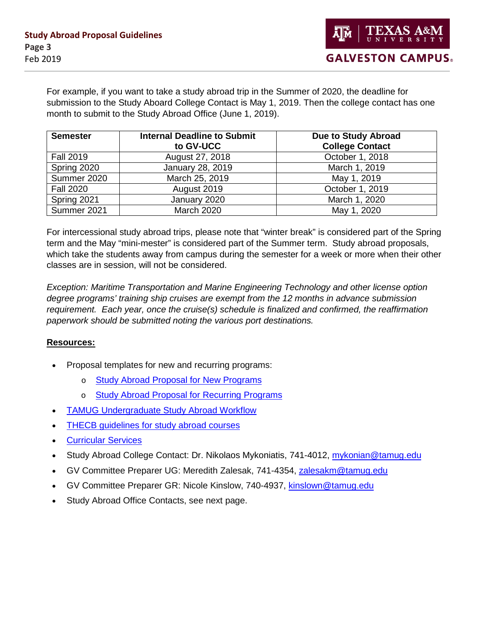For example, if you want to take a study abroad trip in the Summer of 2020, the deadline for submission to the Study Aboard College Contact is May 1, 2019. Then the college contact has one month to submit to the Study Abroad Office (June 1, 2019).

| <b>Semester</b>  | <b>Internal Deadline to Submit</b><br>to GV-UCC | Due to Study Abroad<br><b>College Contact</b> |
|------------------|-------------------------------------------------|-----------------------------------------------|
| <b>Fall 2019</b> | August 27, 2018                                 | October 1, 2018                               |
| Spring 2020      | January 28, 2019                                | March 1, 2019                                 |
| Summer 2020      | March 25, 2019                                  | May 1, 2019                                   |
| <b>Fall 2020</b> | August 2019                                     | October 1, 2019                               |
| Spring 2021      | January 2020                                    | March 1, 2020                                 |
| Summer 2021      | <b>March 2020</b>                               | May 1, 2020                                   |

For intercessional study abroad trips, please note that "winter break" is considered part of the Spring term and the May "mini-mester" is considered part of the Summer term. Study abroad proposals, which take the students away from campus during the semester for a week or more when their other classes are in session, will not be considered.

*Exception: Maritime Transportation and Marine Engineering Technology and other license option degree programs' training ship cruises are exempt from the 12 months in advance submission requirement. Each year, once the cruise(s) schedule is finalized and confirmed, the reaffirmation paperwork should be submitted noting the various port destinations.*

### **Resources:**

- Proposal templates for new and recurring programs:
	- o [Study Abroad Proposal for New Programs](http://studyabroad.tamu.edu/StudyAbroad/media/Study-Abroad-Image/Documents/Study-Abroad-Proposal-for-New-Programs.pdf)
	- o [Study Abroad Proposal for Recurring Programs](http://studyabroad.tamu.edu/StudyAbroad/media/Study-Abroad-Image/Documents/Study-Abroad-Proposal-for-Recurring-Programs.pdf)
- [TAMUG Undergraduate Study Abroad Workflow](http://www.tamug.edu/AcademicAffairs/documents/StudyAbroadWorkflow.pdf)
- [THECB guidelines for study abroad courses](http://studyabroad.tamu.edu/StudyAbroad/media/Study-Abroad-Image/Documents/THECB-Certificate-content.docx)
- [Curricular Services](http://registrar.tamu.edu/Our-Services/Curricular-Services)
- Study Abroad College Contact: Dr. Nikolaos Mykoniatis, 741-4012, [mykonian@tamug.edu](mailto:mykonian@tamug.edu)
- GV Committee Preparer UG: Meredith Zalesak, 741-4354, [zalesakm@tamug.edu](mailto:zalesakm@tamug.edu)
- GV Committee Preparer GR: Nicole Kinslow, 740-4937, [kinslown@tamug.edu](mailto:kinslown@tamug.edu)
- Study Abroad Office Contacts, see next page.